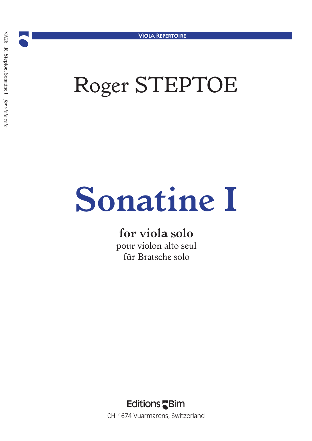## *Roger STEPTOE*

# *Sonatine I*

### *for viola solo*

*pour violon alto seul für Bratsche solo*

**Editions** Bim CH-1674 Vuarmarens, Switzerland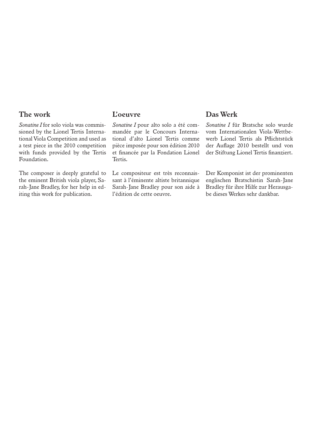#### *The work*

*Sonatine I for solo viola was commissioned by the Lionel Tertis International Viola Competition and used as a test piece in the 2010 competition with funds provided by the Tertis Foundation.*

*The composer is deeply grateful to the eminent British viola player, Sarah-Jane Bradley, for her help in editing this work for publication.*

#### *L'oeuvre*

*Sonatine I pour alto solo a été commandée par le Concours International d'alto Lionel Tertis comme pièce imposée pour son édition 2010 et financée par la Fondation Lionel Tertis.*

*Le compositeur est très reconnaissant à l'éminente altiste britannique Sarah-Jane Bradley pour son aide à l'édition de cette oeuvre.*

#### *Das Werk*

*Sonatine I für Bratsche solo wurde vom Internationalen Viola-Wettbewerb Lionel Tertis als Pflichtstück der Auflage 2010 bestellt und von der Stiftung Lionel Tertis finanziert.*

*Der Komponist ist der prominenten englischen Bratschistin Sarah-Jane Bradley für ihre Hilfe zur Herausgabe dieses Werkes sehr dankbar.*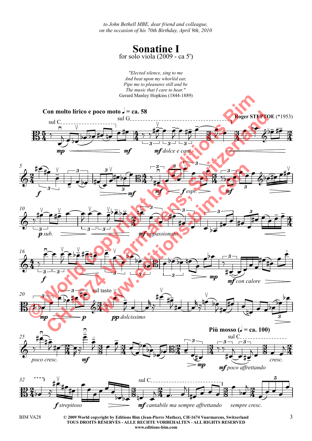*to John Bethell MBE, dear friend and colleague, on the occasion of his 70th Birthday, April 9th, 2010*

> **Sonatine I** for solo viola (2009 - ca 5')





**© 2009 World copyright by Editions Bim (Jean-Pierre Mathez), CH-1674 Vuarmarens, Switzerland** BIM VA28 3 **TOUS DROITS RÉSERVÉS - ALLE RECHTE VORBEHALTEN - ALL RIGHTS RESERVED www.editions-bim.com**